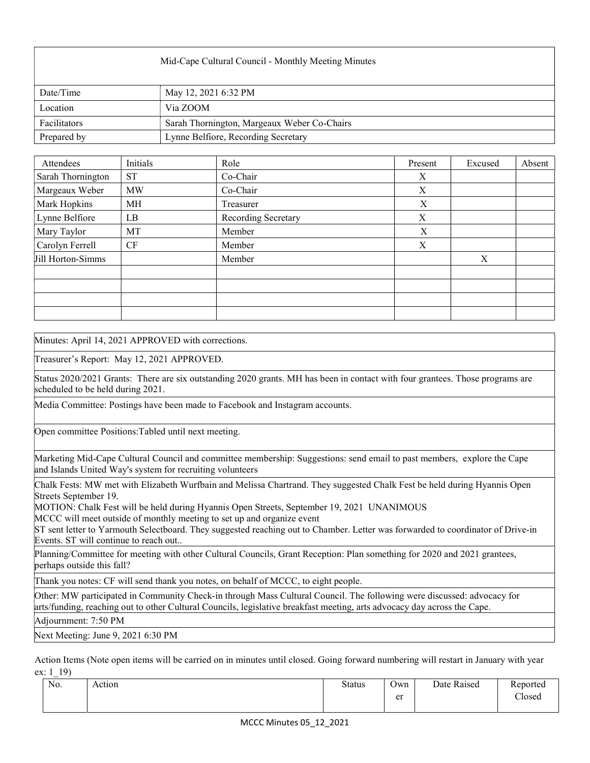| Mid-Cape Cultural Council - Monthly Meeting Minutes |                                             |  |  |  |
|-----------------------------------------------------|---------------------------------------------|--|--|--|
| Date/Time                                           | May 12, 2021 6:32 PM                        |  |  |  |
| Location                                            | Via ZOOM                                    |  |  |  |
| Facilitators                                        | Sarah Thornington, Margeaux Weber Co-Chairs |  |  |  |
| Prepared by                                         | Lynne Belfiore, Recording Secretary         |  |  |  |

| Attendees         | Initials  | Role                | Present | Excused | Absent |
|-------------------|-----------|---------------------|---------|---------|--------|
| Sarah Thornington | <b>ST</b> | Co-Chair            | X       |         |        |
| Margeaux Weber    | <b>MW</b> | Co-Chair            | X       |         |        |
| Mark Hopkins      | MH        | Treasurer           | X       |         |        |
| Lynne Belfiore    | LB        | Recording Secretary | X       |         |        |
| Mary Taylor       | MT        | Member              | X       |         |        |
| Carolyn Ferrell   | CF        | Member              | X       |         |        |
| Jill Horton-Simms |           | Member              |         | X       |        |
|                   |           |                     |         |         |        |
|                   |           |                     |         |         |        |
|                   |           |                     |         |         |        |
|                   |           |                     |         |         |        |

Minutes: April 14, 2021 APPROVED with corrections.

Treasurer's Report: May 12, 2021 APPROVED.

Status 2020/2021 Grants: There are six outstanding 2020 grants. MH has been in contact with four grantees. Those programs are scheduled to be held during 2021.

Media Committee: Postings have been made to Facebook and Instagram accounts.

Open committee Positions:Tabled until next meeting.

Marketing Mid-Cape Cultural Council and committee membership: Suggestions: send email to past members, explore the Cape and Islands United Way's system for recruiting volunteers

Chalk Fests: MW met with Elizabeth Wurfbain and Melissa Chartrand. They suggested Chalk Fest be held during Hyannis Open Streets September 19.

MOTION: Chalk Fest will be held during Hyannis Open Streets, September 19, 2021 UNANIMOUS

MCCC will meet outside of monthly meeting to set up and organize event

ST sent letter to Yarmouth Selectboard. They suggested reaching out to Chamber. Letter was forwarded to coordinator of Drive-in Events. ST will continue to reach out..

Planning/Committee for meeting with other Cultural Councils, Grant Reception: Plan something for 2020 and 2021 grantees, perhaps outside this fall?

Thank you notes: CF will send thank you notes, on behalf of MCCC, to eight people.

Other: MW participated in Community Check-in through Mass Cultural Council. The following were discussed: advocacy for arts/funding, reaching out to other Cultural Councils, legislative breakfast meeting, arts advocacy day across the Cape.

Adjournment: 7:50 PM

Next Meeting: June 9, 2021 6:30 PM

Action Items (Note open items will be carried on in minutes until closed. Going forward numbering will restart in January with year ex: 1 19)

| No. | Action | <b>Status</b> | $\sim$<br>Own | Date Raised | Reported |
|-----|--------|---------------|---------------|-------------|----------|
|     |        |               | er            |             | Closed   |
|     |        |               |               |             |          |